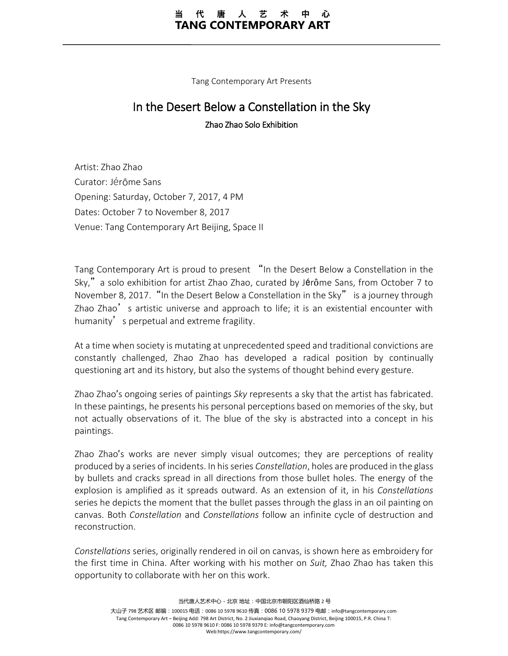#### 唐 人 艺 代 TANG CONTEMPORARY ART

Tang Contemporary Art Presents

# In the Desert Below a Constellation in the Sky

Zhao Zhao Solo Exhibition

Artist: Zhao Zhao Curator: Jérôme Sans Opening: Saturday, October 7, 2017, 4 PM Dates: October 7 to November 8, 2017 Venue: Tang Contemporary Art Beijing, Space II

Tang Contemporary Art is proud to present "In the Desert Below a Constellation in the Sky," a solo exhibition for artist Zhao Zhao, curated by Jérôme Sans, from October 7 to November 8, 2017. "In the Desert Below a Constellation in the Sky" is a journey through Zhao Zhao's artistic universe and approach to life; it is an existential encounter with humanity' s perpetual and extreme fragility.

At a time when society is mutating at unprecedented speed and traditional convictions are constantly challenged, Zhao Zhao has developed a radical position by continually questioning art and its history, but also the systems of thought behind every gesture.

Zhao Zhao's ongoing series of paintings *Sky* represents a sky that the artist has fabricated. In these paintings, he presents his personal perceptions based on memories of the sky, but not actually observations of it. The blue of the sky is abstracted into a concept in his paintings.

Zhao Zhao's works are never simply visual outcomes; they are perceptions of reality produced by a series of incidents. In his series *Constellation*, holes are produced in the glass by bullets and cracks spread in all directions from those bullet holes. The energy of the explosion is amplified as it spreads outward. As an extension of it, in his *Constellations* series he depicts the moment that the bullet passes through the glass in an oil painting on canvas. Both *Constellation* and *Constellations* follow an infinite cycle of destruction and reconstruction.

*Constellations* series, originally rendered in oil on canvas, is shown here as embroidery for the first time in China. After working with his mother on *Suit,* Zhao Zhao has taken this opportunity to collaborate with her on this work.

大山子 798 艺术区 邮编:100015 电话:0086 10 5978 9610 传真:0086 10 5978 9379 电邮:info@tangcontemporary.com Tang Contemporary Art – Beijing Add: 798 Art District, No. 2 Jiuxianqiao Road, Chaoyang District, Beijing 100015, P.R. China T: 0086 10 5978 9610 F: 0086 10 5978 9379 E: info@tangcontemporary.com Web:https://www.tangcontemporary.com/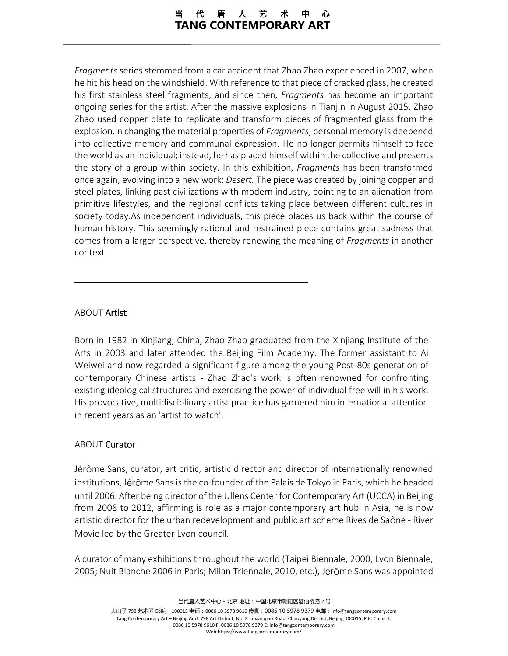*Fragments* series stemmed from a car accident that Zhao Zhao experienced in 2007, when he hit his head on the windshield. With reference to that piece of cracked glass, he created his first stainless steel fragments, and since then, *Fragments* has become an important ongoing series for the artist. After the massive explosions in Tianjin in August 2015, Zhao Zhao used copper plate to replicate and transform pieces of fragmented glass from the explosion.In changing the material properties of *Fragments*, personal memory is deepened into collective memory and communal expression. He no longer permits himself to face the world as an individual; instead, he has placed himself within the collective and presents the story of a group within society. In this exhibition, *Fragments* has been transformed once again, evolving into a new work: *Desert.* The piece was created by joining copper and steel plates, linking past civilizations with modern industry, pointing to an alienation from primitive lifestyles, and the regional conflicts taking place between different cultures in society today.As independent individuals, this piece places us back within the course of human history. This seemingly rational and restrained piece contains great sadness that comes from a larger perspective, thereby renewing the meaning of *Fragments* in another context.

## ABOUT Artist

Born in 1982 in Xinjiang, China, Zhao Zhao graduated from the Xinjiang Institute of the Arts in 2003 and later attended the Beijing Film Academy. The former assistant to Ai Weiwei and now regarded a significant figure among the young Post-80s generation of contemporary Chinese artists - Zhao Zhao's work is often renowned for confronting existing ideological structures and exercising the power of individual free will in his work. His provocative, multidisciplinary artist practice has garnered him international attention in recent years as an 'artist to watch'.

### ABOUT Curator

Jérôme Sans, curator, art critic, artistic director and director of internationally renowned institutions, Jérôme Sans is the co-founder of the Palais de Tokyo in Paris, which he headed until 2006. After being director of the Ullens Center for Contemporary Art (UCCA) in Beijing from 2008 to 2012, affirming is role as a major contemporary art hub in Asia, he is now artistic director for the urban redevelopment and public art scheme Rives de Saône - River Movie led by the Greater Lyon council.

A curator of many exhibitions throughout the world (Taipei Biennale, 2000; Lyon Biennale, 2005; Nuit Blanche 2006 in Paris; Milan Triennale, 2010, etc.), Jérôme Sans was appointed

当代唐人艺术中心-北京 地址:中国北京市朝阳区酒仙桥路 2 号

大山子 798 艺术区 邮编:100015 电话:0086 10 5978 9610 传真:0086 10 5978 9379 电邮:info@tangcontemporary.com Tang Contemporary Art – Beijing Add: 798 Art District, No. 2 Jiuxianqiao Road, Chaoyang District, Beijing 100015, P.R. China T: 0086 10 5978 9610 F: 0086 10 5978 9379 E: info@tangcontemporary.com Web:https://www.tangcontemporary.com/